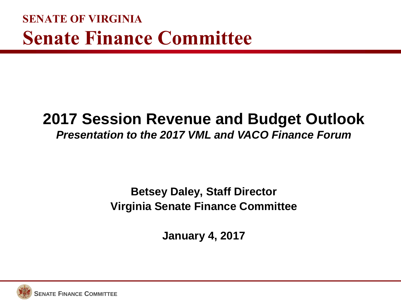**SENATE OF VIRGINIA Senate Finance Committee**

#### **2017 Session Revenue and Budget Outlook** *Presentation to the 2017 VML and VACO Finance Forum*

#### **Betsey Daley, Staff Director Virginia Senate Finance Committee**

**January 4, 2017**

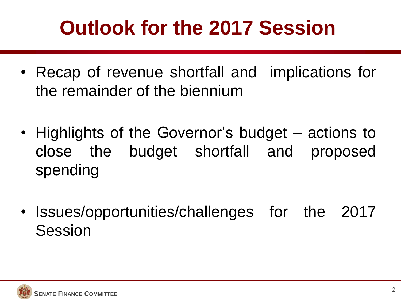# **Outlook for the 2017 Session**

- Recap of revenue shortfall and implications for the remainder of the biennium
- Highlights of the Governor's budget actions to close the budget shortfall and proposed spending
- Issues/opportunities/challenges for the 2017 Session

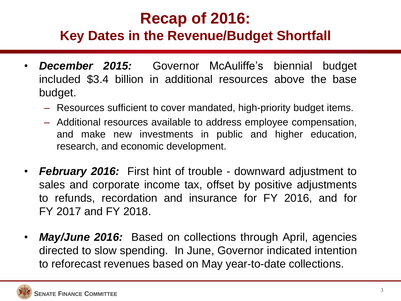### **Recap of 2016:**

#### **Key Dates in the Revenue/Budget Shortfall**

- *December 2015:* Governor McAuliffe's biennial budget included \$3.4 billion in additional resources above the base budget.
	- Resources sufficient to cover mandated, high-priority budget items.
	- Additional resources available to address employee compensation, and make new investments in public and higher education, research, and economic development.
- *February 2016:* First hint of trouble downward adjustment to sales and corporate income tax, offset by positive adjustments to refunds, recordation and insurance for FY 2016, and for FY 2017 and FY 2018.
- *May/June 2016:* Based on collections through April, agencies directed to slow spending. In June, Governor indicated intention to reforecast revenues based on May year-to-date collections.

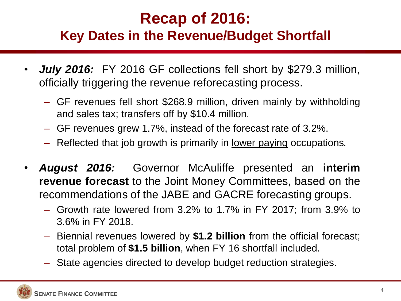### **Recap of 2016:**

#### **Key Dates in the Revenue/Budget Shortfall**

- *July 2016:* FY 2016 GF collections fell short by \$279.3 million, officially triggering the revenue reforecasting process.
	- GF revenues fell short \$268.9 million, driven mainly by withholding and sales tax; transfers off by \$10.4 million.
	- GF revenues grew 1.7%, instead of the forecast rate of 3.2%.
	- Reflected that job growth is primarily in lower paying occupations*.*
- *August 2016:* Governor McAuliffe presented an **interim revenue forecast** to the Joint Money Committees, based on the recommendations of the JABE and GACRE forecasting groups.
	- Growth rate lowered from 3.2% to 1.7% in FY 2017; from 3.9% to 3.6% in FY 2018.
	- Biennial revenues lowered by **\$1.2 billion** from the official forecast; total problem of **\$1.5 billion**, when FY 16 shortfall included.
	- State agencies directed to develop budget reduction strategies.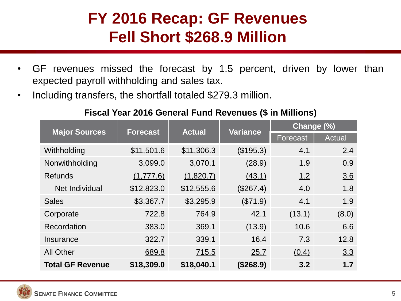#### **FY 2016 Recap: GF Revenues Fell Short \$268.9 Million**

- GF revenues missed the forecast by 1.5 percent, driven by lower than expected payroll withholding and sales tax.
- Including transfers, the shortfall totaled \$279.3 million.

#### **Fiscal Year 2016 General Fund Revenues (\$ in Millions)**

| <b>Major Sources</b>    | <b>Forecast</b> | <b>Actual</b> | <b>Variance</b> | Change (%) |        |
|-------------------------|-----------------|---------------|-----------------|------------|--------|
|                         |                 |               |                 | Forecast   | Actual |
| Withholding             | \$11,501.6      | \$11,306.3    | (\$195.3)       | 4.1        | 2.4    |
| Nonwithholding          | 3,099.0         | 3,070.1       | (28.9)          | 1.9        | 0.9    |
| <b>Refunds</b>          | (1,777.6)       | (1,820.7)     | (43.1)          | 1.2        | 3.6    |
| Net Individual          | \$12,823.0      | \$12,555.6    | (\$267.4)       | 4.0        | 1.8    |
| <b>Sales</b>            | \$3,367.7       | \$3,295.9     | (\$71.9)        | 4.1        | 1.9    |
| Corporate               | 722.8           | 764.9         | 42.1            | (13.1)     | (8.0)  |
| Recordation             | 383.0           | 369.1         | (13.9)          | 10.6       | 6.6    |
| Insurance               | 322.7           | 339.1         | 16.4            | 7.3        | 12.8   |
| <b>All Other</b>        | 689.8           | 715.5         | 25.7            | (0.4)      | 3.3    |
| <b>Total GF Revenue</b> | \$18,309.0      | \$18,040.1    | (\$268.9)       | 3.2        | 1.7    |

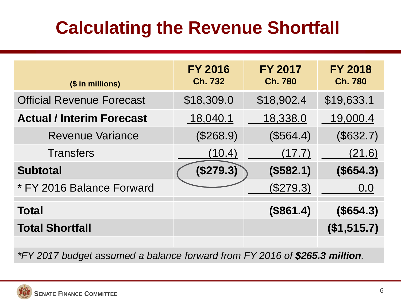### **Calculating the Revenue Shortfall**

| (\$ in millions)                 | <b>FY 2016</b><br><b>Ch. 732</b> | <b>FY 2017</b><br><b>Ch. 780</b> | <b>FY 2018</b><br><b>Ch. 780</b> |
|----------------------------------|----------------------------------|----------------------------------|----------------------------------|
| <b>Official Revenue Forecast</b> | \$18,309.0                       | \$18,902.4                       | \$19,633.1                       |
| <b>Actual / Interim Forecast</b> | 18,040.1                         | 18,338.0                         | 19,000.4                         |
| <b>Revenue Variance</b>          | (\$268.9)                        | (\$564.4)                        | (\$632.7)                        |
| <b>Transfers</b>                 | (10.4)                           | (17.7)                           | (21.6)                           |
| <b>Subtotal</b>                  | (\$279.3)                        | (\$582.1)                        | (\$654.3)                        |
| * FY 2016 Balance Forward        |                                  | (\$279.3)                        | 0.0                              |
| <b>Total</b>                     |                                  | (\$861.4)                        | (\$654.3)                        |
| <b>Total Shortfall</b>           |                                  |                                  | (\$1,515.7)                      |

*\*FY 2017 budget assumed a balance forward from FY 2016 of \$265.3 million.*

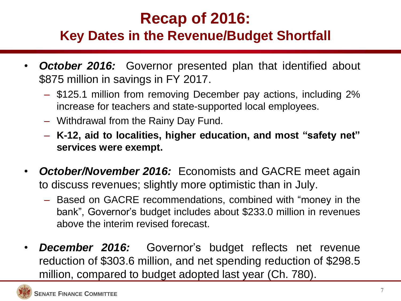### **Recap of 2016:**

#### **Key Dates in the Revenue/Budget Shortfall**

- **October 2016:** Governor presented plan that identified about \$875 million in savings in FY 2017.
	- \$125.1 million from removing December pay actions, including 2% increase for teachers and state-supported local employees.
	- Withdrawal from the Rainy Day Fund.
	- **K-12, aid to localities, higher education, and most "safety net" services were exempt.**
- *October/November 2016:* Economists and GACRE meet again to discuss revenues; slightly more optimistic than in July.
	- Based on GACRE recommendations, combined with "money in the bank", Governor's budget includes about \$233.0 million in revenues above the interim revised forecast.
- *December 2016:* Governor's budget reflects net revenue reduction of \$303.6 million, and net spending reduction of \$298.5 million, compared to budget adopted last year (Ch. 780).

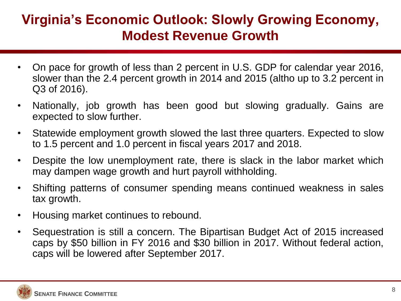#### **Virginia's Economic Outlook: Slowly Growing Economy, Modest Revenue Growth**

- On pace for growth of less than 2 percent in U.S. GDP for calendar year 2016, slower than the 2.4 percent growth in 2014 and 2015 (altho up to 3.2 percent in Q3 of 2016).
- Nationally, job growth has been good but slowing gradually. Gains are expected to slow further.
- Statewide employment growth slowed the last three quarters. Expected to slow to 1.5 percent and 1.0 percent in fiscal years 2017 and 2018.
- Despite the low unemployment rate, there is slack in the labor market which may dampen wage growth and hurt payroll withholding.
- Shifting patterns of consumer spending means continued weakness in sales tax growth.
- Housing market continues to rebound.
- Sequestration is still a concern. The Bipartisan Budget Act of 2015 increased caps by \$50 billion in FY 2016 and \$30 billion in 2017. Without federal action, caps will be lowered after September 2017.

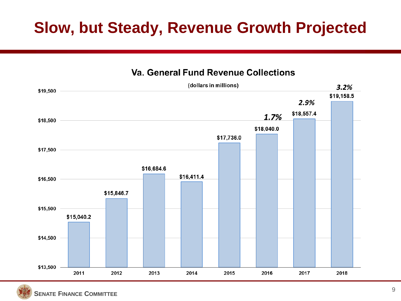### **Slow, but Steady, Revenue Growth Projected**

#### **Va. General Fund Revenue Collections**



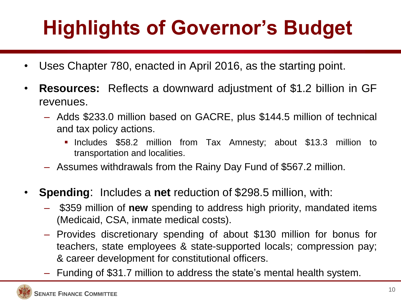# **Highlights of Governor's Budget**

- Uses Chapter 780, enacted in April 2016, as the starting point.
- **Resources:** Reflects a downward adjustment of \$1.2 billion in GF revenues.
	- Adds \$233.0 million based on GACRE, plus \$144.5 million of technical and tax policy actions.
		- Includes \$58.2 million from Tax Amnesty; about \$13.3 million to transportation and localities.
	- Assumes withdrawals from the Rainy Day Fund of \$567.2 million.
- **Spending**: Includes a **net** reduction of \$298.5 million, with:
	- \$359 million of **new** spending to address high priority, mandated items (Medicaid, CSA, inmate medical costs).
	- Provides discretionary spending of about \$130 million for bonus for teachers, state employees & state-supported locals; compression pay; & career development for constitutional officers.
	- Funding of \$31.7 million to address the state's mental health system.

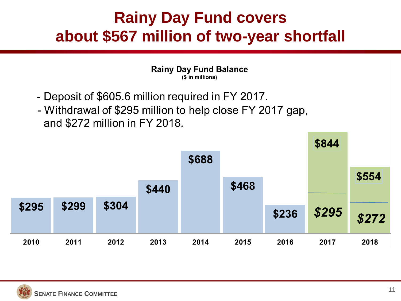### **Rainy Day Fund covers about \$567 million of two-year shortfall**

**Rainy Day Fund Balance** (\$ in millions)

- Deposit of \$605.6 million required in FY 2017.
- Withdrawal of \$295 million to help close FY 2017 gap, and \$272 million in FY 2018.



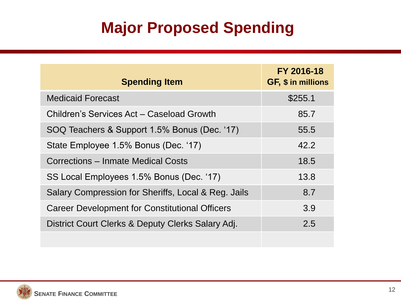### **Major Proposed Spending**

| <b>Spending Item</b>                                  | FY 2016-18<br>GF, \$ in millions |
|-------------------------------------------------------|----------------------------------|
| <b>Medicaid Forecast</b>                              | \$255.1                          |
| Children's Services Act - Caseload Growth             | 85.7                             |
| SOQ Teachers & Support 1.5% Bonus (Dec. '17)          | 55.5                             |
| State Employee 1.5% Bonus (Dec. '17)                  | 42.2                             |
| Corrections – Inmate Medical Costs                    | 18.5                             |
| SS Local Employees 1.5% Bonus (Dec. '17)              | 13.8                             |
| Salary Compression for Sheriffs, Local & Reg. Jails   | 8.7                              |
| <b>Career Development for Constitutional Officers</b> | 3.9                              |
| District Court Clerks & Deputy Clerks Salary Adj.     | 2.5                              |
|                                                       |                                  |

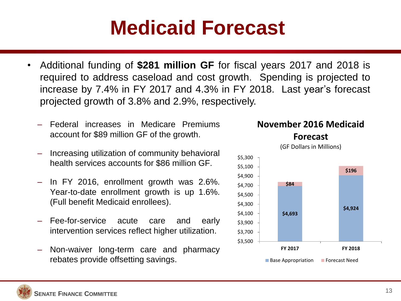## **Medicaid Forecast**

- Additional funding of **\$281 million GF** for fiscal years 2017 and 2018 is required to address caseload and cost growth. Spending is projected to increase by 7.4% in FY 2017 and 4.3% in FY 2018. Last year's forecast projected growth of 3.8% and 2.9%, respectively.
	- Federal increases in Medicare Premiums account for \$89 million GF of the growth.
	- Increasing utilization of community behavioral health services accounts for \$86 million GF.
	- In FY 2016, enrollment growth was 2.6%. Year-to-date enrollment growth is up 1.6%. (Full benefit Medicaid enrollees).
	- Fee-for-service acute care and early intervention services reflect higher utilization.
	- Non-waiver long-term care and pharmacy rebates provide offsetting savings.



**November 2016 Medicaid** 

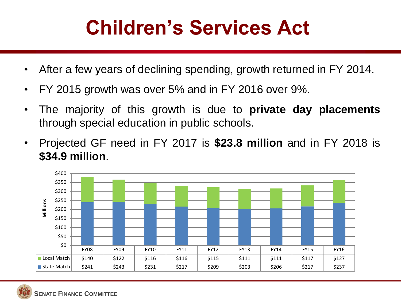# **Children's Services Act**

- After a few years of declining spending, growth returned in FY 2014.
- FY 2015 growth was over 5% and in FY 2016 over 9%.
- The majority of this growth is due to **private day placements** through special education in public schools.
- Projected GF need in FY 2017 is **\$23.8 million** and in FY 2018 is **\$34.9 million**.



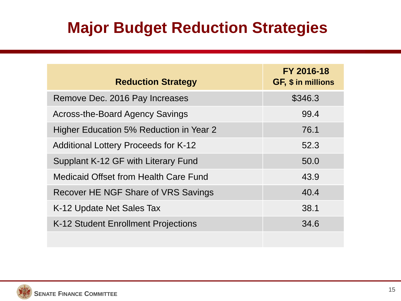### **Major Budget Reduction Strategies**

| <b>Reduction Strategy</b>                      | FY 2016-18<br>GF, \$ in millions |
|------------------------------------------------|----------------------------------|
| Remove Dec. 2016 Pay Increases                 | \$346.3                          |
| Across-the-Board Agency Savings                | 99.4                             |
| <b>Higher Education 5% Reduction in Year 2</b> | 76.1                             |
| <b>Additional Lottery Proceeds for K-12</b>    | 52.3                             |
| Supplant K-12 GF with Literary Fund            | 50.0                             |
| <b>Medicaid Offset from Health Care Fund</b>   | 43.9                             |
| Recover HE NGF Share of VRS Savings            | 40.4                             |
| K-12 Update Net Sales Tax                      | 38.1                             |
| K-12 Student Enrollment Projections            | 34.6                             |
|                                                |                                  |

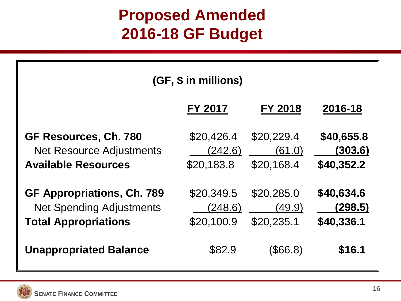### **Proposed Amended 2016-18 GF Budget**

| (GF, \$ in millions)                                                                                |                                     |                                    |                                     |  |
|-----------------------------------------------------------------------------------------------------|-------------------------------------|------------------------------------|-------------------------------------|--|
|                                                                                                     | <b>FY 2017</b>                      | <b>FY 2018</b>                     | 2016-18                             |  |
| GF Resources, Ch. 780<br><b>Net Resource Adjustments</b><br><b>Available Resources</b>              | \$20,426.4<br>(242.6)<br>\$20,183.8 | \$20,229.4<br>(61.0)<br>\$20,168.4 | \$40,655.8<br>(303.6)<br>\$40,352.2 |  |
| <b>GF Appropriations, Ch. 789</b><br><b>Net Spending Adjustments</b><br><b>Total Appropriations</b> | \$20,349.5<br>(248.6)<br>\$20,100.9 | \$20,285.0<br>(49.9)<br>\$20,235.1 | \$40,634.6<br>(298.5)<br>\$40,336.1 |  |
| <b>Unappropriated Balance</b>                                                                       | \$82.9                              | (\$66.8)                           | \$16.1                              |  |

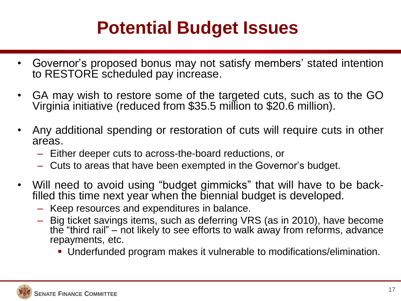### **Potential Budget Issues**

- Governor's proposed bonus may not satisfy members' stated intention to RESTORE scheduled pay increase.
- GA may wish to restore some of the targeted cuts, such as to the GO Virginia initiative (reduced from \$35.5 million to \$20.6 million).
- Any additional spending or restoration of cuts will require cuts in other areas.
	- Either deeper cuts to across-the-board reductions, or
	- Cuts to areas that have been exempted in the Governor's budget.
- Will need to avoid using "budget gimmicks" that will have to be backfilled this time next year when the biennial budget is developed.
	- Keep resources and expenditures in balance.
	- Big ticket savings items, such as deferring VRS (as in 2010), have become the "third rail" – not likely to see efforts to walk away from reforms, advance repayments, etc.
		- Underfunded program makes it vulnerable to modifications/elimination.

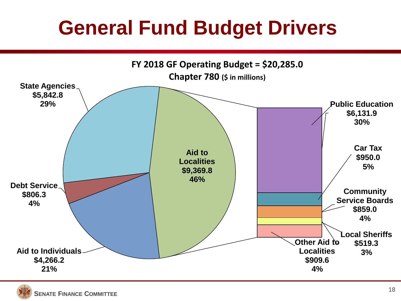# **General Fund Budget Drivers**



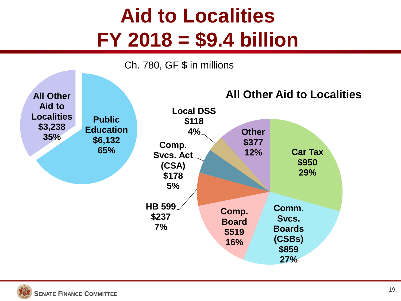# **Aid to Localities FY 2018 = \$9.4 billion**



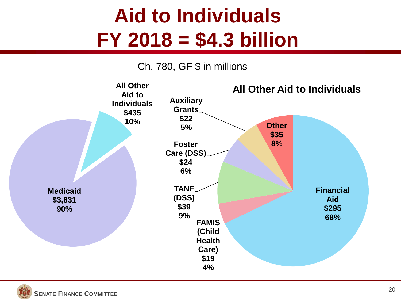# **Aid to Individuals FY 2018 = \$4.3 billion**

#### Ch. 780, GF \$ in millions

![](_page_19_Figure_2.jpeg)

![](_page_19_Picture_3.jpeg)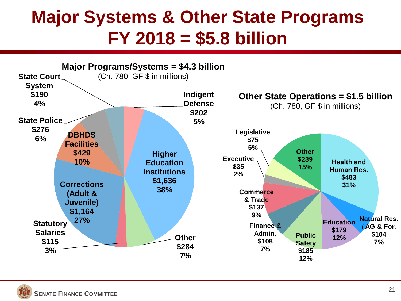### **Major Systems & Other State Programs FY 2018 = \$5.8 billion**

![](_page_20_Figure_1.jpeg)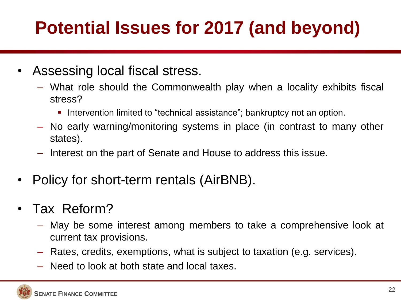## **Potential Issues for 2017 (and beyond)**

- Assessing local fiscal stress.
	- What role should the Commonwealth play when a locality exhibits fiscal stress?
		- Intervention limited to "technical assistance"; bankruptcy not an option.
	- No early warning/monitoring systems in place (in contrast to many other states).
	- Interest on the part of Senate and House to address this issue.
- Policy for short-term rentals (AirBNB).
- Tax Reform?
	- May be some interest among members to take a comprehensive look at current tax provisions.
	- Rates, credits, exemptions, what is subject to taxation (e.g. services).
	- Need to look at both state and local taxes.

![](_page_21_Picture_11.jpeg)